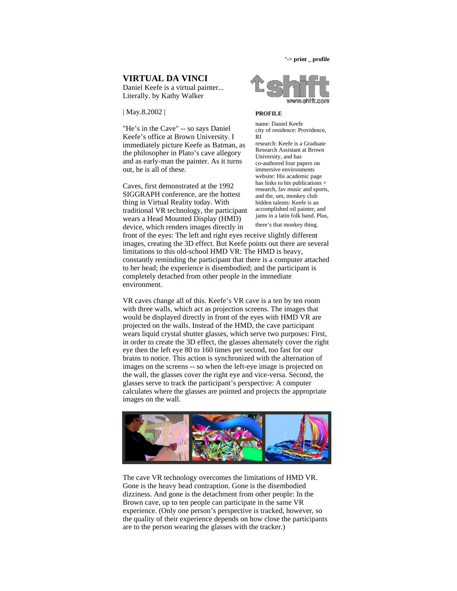**'-> print \_ profile**

## **VIRTUAL DA VINCI**

Daniel Keefe is a virtual painter... Literally. by Kathy Walker

| May.8.2002 |

"He's in the Cave" -- so says Daniel Keefe's office at Brown University. I immediately picture Keefe as Batman, as the philosopher in Plato's cave allegory and as early-man the painter. As it turns out, he is all of these.

Caves, first demonstrated at the 1992 SIGGRAPH conference, are the hottest thing in Virtual Reality today. With traditional VR technology, the participant wears a Head Mounted Display (HMD) device, which renders images directly in



## **PROFILE**

name: Daniel Keefe city of residence: Providence, RI

research: Keefe is a Graduate Research Assistant at Brown University, and has co-authored four papers on immersive environments website: His academic page has links to his publications + research, fav music and sports, and the, um, monkey club hidden talents: Keefe is an accomplished oil painter, and jams in a latin folk band. Plus, there's that monkey thing.

front of the eyes: The left and right eyes receive slightly different images, creating the 3D effect. But Keefe points out there are several limitations to this old-school HMD VR: The HMD is heavy, constantly reminding the participant that there is a computer attached to her head; the experience is disembodied; and the participant is completely detached from other people in the immediate environment.

VR caves change all of this. Keefe's VR cave is a ten by ten room with three walls, which act as projection screens. The images that would be displayed directly in front of the eyes with HMD VR are projected on the walls. Instead of the HMD, the cave participant wears liquid crystal shutter glasses, which serve two purposes: First, in order to create the 3D effect, the glasses alternately cover the right eye then the left eye 80 to 160 times per second, too fast for our brains to notice. This action is synchronized with the alternation of images on the screens -- so when the left-eye image is projected on the wall, the glasses cover the right eye and vice-versa. Second, the glasses serve to track the participant's perspective: A computer calculates where the glasses are pointed and projects the appropriate images on the wall.



The cave VR technology overcomes the limitations of HMD VR. Gone is the heavy head contraption. Gone is the disembodied dizziness. And gone is the detachment from other people: In the Brown cave, up to ten people can participate in the same VR experience. (Only one person's perspective is tracked, however, so the quality of their experience depends on how close the participants are to the person wearing the glasses with the tracker.)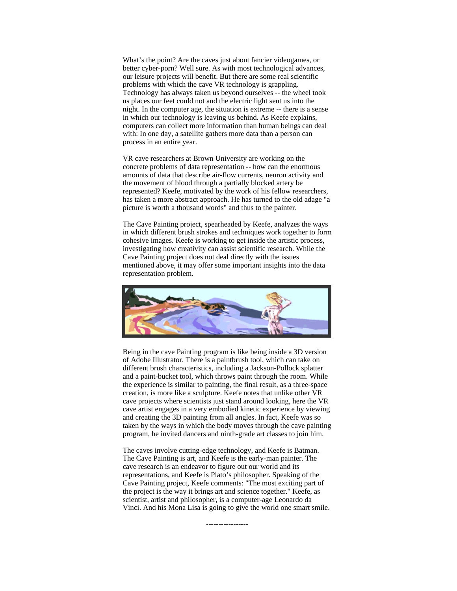What's the point? Are the caves just about fancier videogames, or better cyber-porn? Well sure. As with most technological advances, our leisure projects will benefit. But there are some real scientific problems with which the cave VR technology is grappling. Technology has always taken us beyond ourselves -- the wheel took us places our feet could not and the electric light sent us into the night. In the computer age, the situation is extreme -- there is a sense in which our technology is leaving us behind. As Keefe explains, computers can collect more information than human beings can deal with: In one day, a satellite gathers more data than a person can process in an entire year.

VR cave researchers at Brown University are working on the concrete problems of data representation -- how can the enormous amounts of data that describe air-flow currents, neuron activity and the movement of blood through a partially blocked artery be represented? Keefe, motivated by the work of his fellow researchers, has taken a more abstract approach. He has turned to the old adage "a picture is worth a thousand words" and thus to the painter.

The Cave Painting project, spearheaded by Keefe, analyzes the ways in which different brush strokes and techniques work together to form cohesive images. Keefe is working to get inside the artistic process, investigating how creativity can assist scientific research. While the Cave Painting project does not deal directly with the issues mentioned above, it may offer some important insights into the data representation problem.



Being in the cave Painting program is like being inside a 3D version of Adobe Illustrator. There is a paintbrush tool, which can take on different brush characteristics, including a Jackson-Pollock splatter and a paint-bucket tool, which throws paint through the room. While the experience is similar to painting, the final result, as a three-space creation, is more like a sculpture. Keefe notes that unlike other VR cave projects where scientists just stand around looking, here the VR cave artist engages in a very embodied kinetic experience by viewing and creating the 3D painting from all angles. In fact, Keefe was so taken by the ways in which the body moves through the cave painting program, he invited dancers and ninth-grade art classes to join him.

The caves involve cutting-edge technology, and Keefe is Batman. The Cave Painting is art, and Keefe is the early-man painter. The cave research is an endeavor to figure out our world and its representations, and Keefe is Plato's philosopher. Speaking of the Cave Painting project, Keefe comments: "The most exciting part of the project is the way it brings art and science together." Keefe, as scientist, artist and philosopher, is a computer-age Leonardo da Vinci. And his Mona Lisa is going to give the world one smart smile.

-----------------